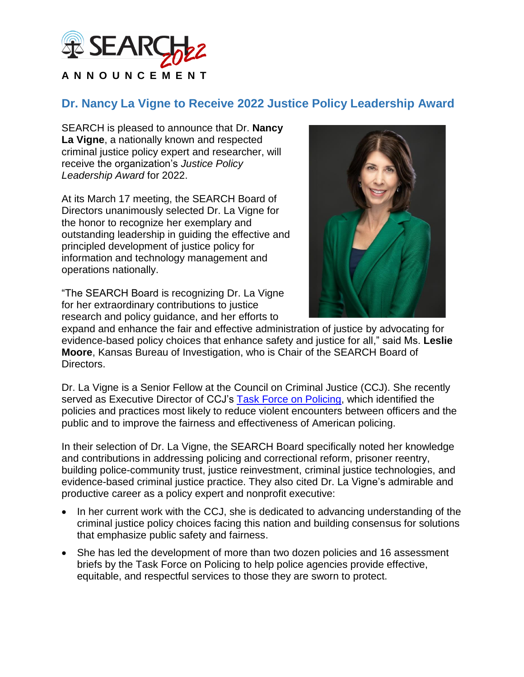

## **Dr. Nancy La Vigne to Receive 2022 Justice Policy Leadership Award**

SEARCH is pleased to announce that Dr. **Nancy La Vigne**, a nationally known and respected criminal justice policy expert and researcher, will receive the organization's *Justice Policy Leadership Award* for 2022.

At its March 17 meeting, the SEARCH Board of Directors unanimously selected Dr. La Vigne for the honor to recognize her exemplary and outstanding leadership in guiding the effective and principled development of justice policy for information and technology management and operations nationally.

"The SEARCH Board is recognizing Dr. La Vigne for her extraordinary contributions to justice research and policy guidance, and her efforts to



expand and enhance the fair and effective administration of justice by advocating for evidence-based policy choices that enhance safety and justice for all," said Ms. **Leslie Moore**, Kansas Bureau of Investigation, who is Chair of the SEARCH Board of Directors.

Dr. La Vigne is a Senior Fellow at the Council on Criminal Justice (CCJ). She recently served as Executive Director of CCJ's [Task Force on Policing,](https://counciloncj.org/tfp/) which identified the policies and practices most likely to reduce violent encounters between officers and the public and to improve the fairness and effectiveness of American policing.

In their selection of Dr. La Vigne, the SEARCH Board specifically noted her knowledge and contributions in addressing policing and correctional reform, prisoner reentry, building police-community trust, justice reinvestment, criminal justice technologies, and evidence-based criminal justice practice. They also cited Dr. La Vigne's admirable and productive career as a policy expert and nonprofit executive:

- In her current work with the CCJ, she is dedicated to advancing understanding of the criminal justice policy choices facing this nation and building consensus for solutions that emphasize public safety and fairness.
- She has led the development of more than two dozen policies and 16 assessment briefs by the Task Force on Policing to help police agencies provide effective, equitable, and respectful services to those they are sworn to protect.